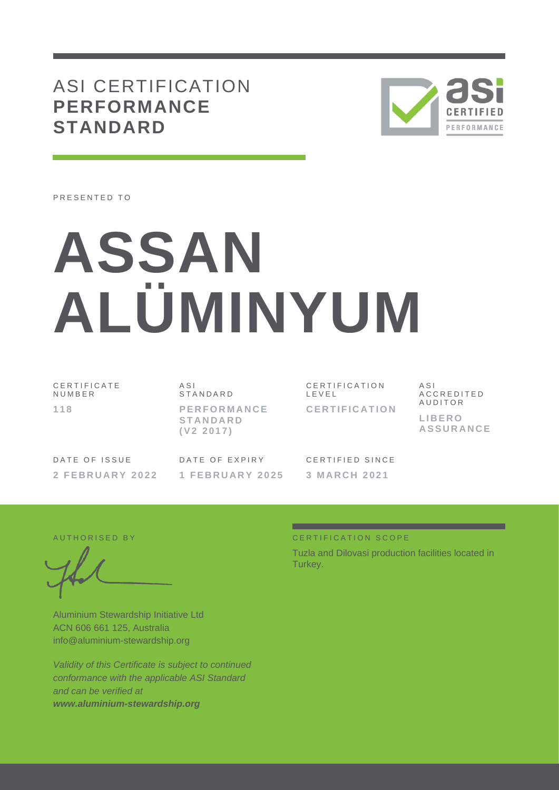## ASI CERTIFICATION **PERFORMANCE STANDARD**



PRESENTED TO

# **ASSAN ALÜMINYUM**

C E R T I F I C A T E N U M B E R **1 1 8**

A S I **STANDARD P E R F O R M A N C E S T A N D A R D ( V 2 2 0 1 7 )**

C E R T I F I C A T I O N L E V E L **C E R T I F I C A T I O N** A S I A C C R E D I T E D **AUDITOR L I B E R O A S S U R A N C E**

DATE OF ISSUE **2 F E B R U A R Y 202 2** DATE OF EXPIRY **1 F E B R U A R Y 202 5**

CERTIFIED SINCE **3 M A R C H 2 0 2 1**

Aluminium Stewardship Initiative Ltd ACN 606 661 125, Australia info@aluminium-stewardship.org

*Validity of this Certificate is subject to continued conformance with the applicable ASI Standard and can be verified at www.aluminium-stewardship.org*

#### A UTHORISED BY CERTIFICATION SCOPE

Tuzla and Dilovasi production facilities located in Turkey.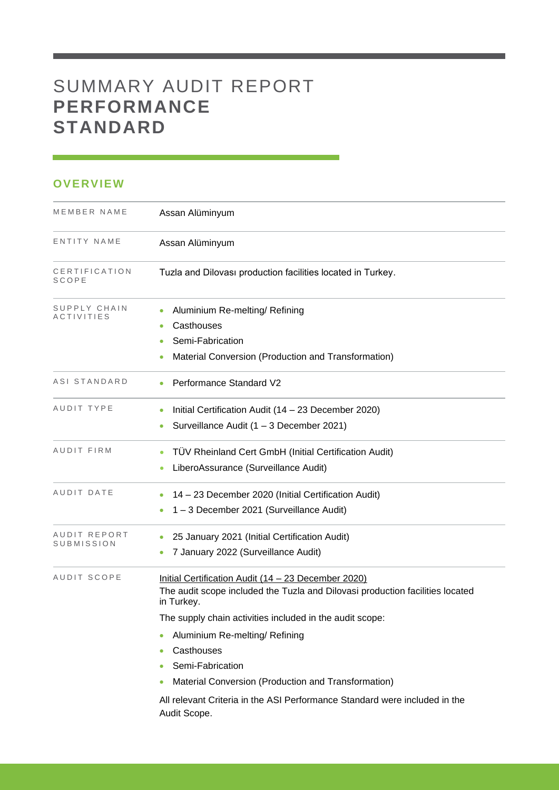# SUMMARY AUDIT REPORT **PERFORMANCE STANDARD**

### **OVERVIEW**

| MEMBER NAME                | Assan Alüminyum                                                                                                                                                                                                                                                                                                                                                                                                                         |
|----------------------------|-----------------------------------------------------------------------------------------------------------------------------------------------------------------------------------------------------------------------------------------------------------------------------------------------------------------------------------------------------------------------------------------------------------------------------------------|
| ENTITY NAME                | Assan Alüminyum                                                                                                                                                                                                                                                                                                                                                                                                                         |
| CERTIFICATION<br>SCOPE     | Tuzla and Dilovası production facilities located in Turkey.                                                                                                                                                                                                                                                                                                                                                                             |
| SUPPLY CHAIN<br>ACTIVITIES | Aluminium Re-melting/ Refining<br>Casthouses<br>Semi-Fabrication<br>Material Conversion (Production and Transformation)                                                                                                                                                                                                                                                                                                                 |
| ASI STANDARD               | <b>Performance Standard V2</b>                                                                                                                                                                                                                                                                                                                                                                                                          |
| AUDIT TYPE                 | Initial Certification Audit (14 - 23 December 2020)<br>Surveillance Audit (1 - 3 December 2021)                                                                                                                                                                                                                                                                                                                                         |
| AUDIT FIRM                 | TÜV Rheinland Cert GmbH (Initial Certification Audit)<br>LiberoAssurance (Surveillance Audit)                                                                                                                                                                                                                                                                                                                                           |
| AUDIT DATE                 | 14 - 23 December 2020 (Initial Certification Audit)<br>1-3 December 2021 (Surveillance Audit)                                                                                                                                                                                                                                                                                                                                           |
| AUDIT REPORT<br>SUBMISSION | 25 January 2021 (Initial Certification Audit)<br>7 January 2022 (Surveillance Audit)                                                                                                                                                                                                                                                                                                                                                    |
| AUDIT SCOPE                | Initial Certification Audit (14 - 23 December 2020)<br>The audit scope included the Tuzla and Dilovasi production facilities located<br>in Turkey.<br>The supply chain activities included in the audit scope:<br>Aluminium Re-melting/ Refining<br>Casthouses<br>Semi-Fabrication<br>Material Conversion (Production and Transformation)<br>All relevant Criteria in the ASI Performance Standard were included in the<br>Audit Scope. |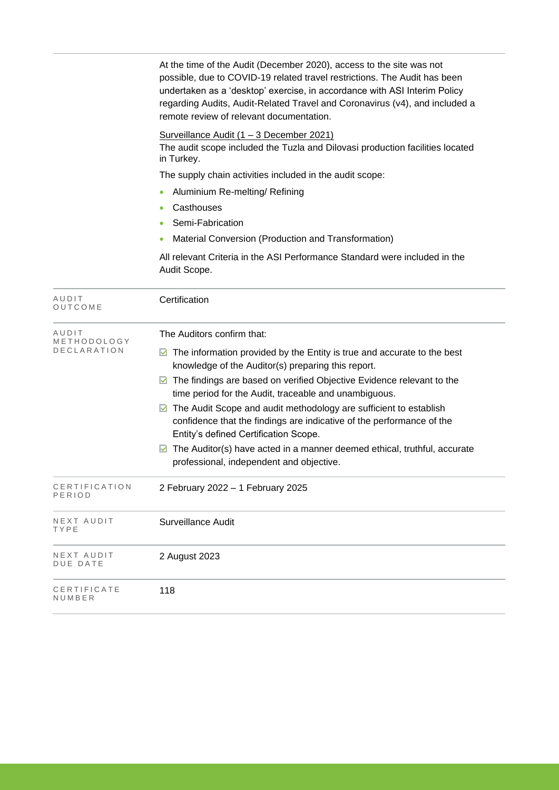|                         | At the time of the Audit (December 2020), access to the site was not<br>possible, due to COVID-19 related travel restrictions. The Audit has been<br>undertaken as a 'desktop' exercise, in accordance with ASI Interim Policy<br>regarding Audits, Audit-Related Travel and Coronavirus (v4), and included a<br>remote review of relevant documentation. |
|-------------------------|-----------------------------------------------------------------------------------------------------------------------------------------------------------------------------------------------------------------------------------------------------------------------------------------------------------------------------------------------------------|
|                         | Surveillance Audit (1 - 3 December 2021)<br>The audit scope included the Tuzla and Dilovasi production facilities located<br>in Turkey.                                                                                                                                                                                                                   |
|                         | The supply chain activities included in the audit scope:                                                                                                                                                                                                                                                                                                  |
|                         | Aluminium Re-melting/ Refining                                                                                                                                                                                                                                                                                                                            |
|                         | Casthouses<br>۰                                                                                                                                                                                                                                                                                                                                           |
|                         | Semi-Fabrication<br>۰                                                                                                                                                                                                                                                                                                                                     |
|                         | Material Conversion (Production and Transformation)                                                                                                                                                                                                                                                                                                       |
|                         | All relevant Criteria in the ASI Performance Standard were included in the<br>Audit Scope.                                                                                                                                                                                                                                                                |
| AUDIT<br>OUTCOME        | Certification                                                                                                                                                                                                                                                                                                                                             |
| AUDIT<br>METHODOLOGY    | The Auditors confirm that:                                                                                                                                                                                                                                                                                                                                |
| DECLARATION             | $\blacksquare$ The information provided by the Entity is true and accurate to the best<br>knowledge of the Auditor(s) preparing this report.                                                                                                                                                                                                              |
|                         | $\blacksquare$ The findings are based on verified Objective Evidence relevant to the<br>time period for the Audit, traceable and unambiguous.                                                                                                                                                                                                             |
|                         | ◘ The Audit Scope and audit methodology are sufficient to establish<br>confidence that the findings are indicative of the performance of the<br>Entity's defined Certification Scope.                                                                                                                                                                     |
|                         | The Auditor(s) have acted in a manner deemed ethical, truthful, accurate<br>M<br>professional, independent and objective.                                                                                                                                                                                                                                 |
| CERTIFICATION<br>PERIOD | 2 February 2022 - 1 February 2025                                                                                                                                                                                                                                                                                                                         |
| NEXT AUDIT<br>TYPE      | <b>Surveillance Audit</b>                                                                                                                                                                                                                                                                                                                                 |
| NEXT AUDIT<br>DUE DATE  | 2 August 2023                                                                                                                                                                                                                                                                                                                                             |
| CERTIFICATE<br>NUMBER   | 118                                                                                                                                                                                                                                                                                                                                                       |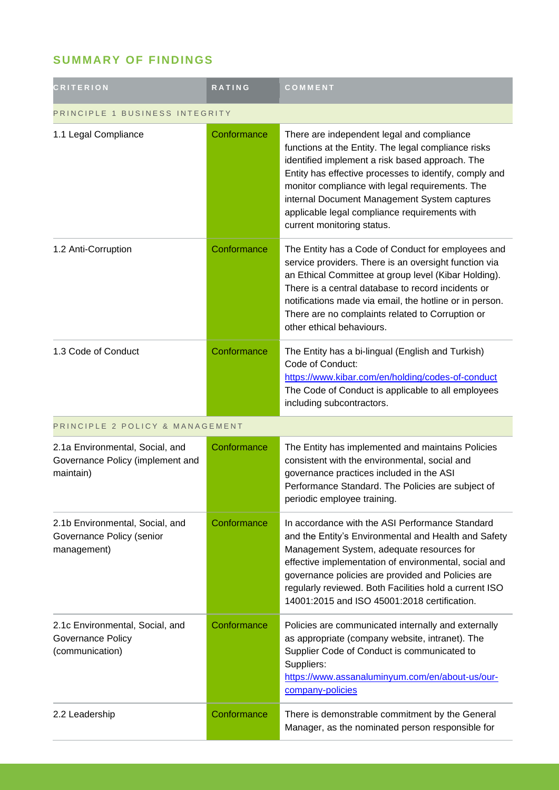## **SUMMARY OF FINDINGS**

| <b>CRITERION</b>                                                                 | <b>RATING</b> | COMMENT                                                                                                                                                                                                                                                                                                                                                                                          |  |
|----------------------------------------------------------------------------------|---------------|--------------------------------------------------------------------------------------------------------------------------------------------------------------------------------------------------------------------------------------------------------------------------------------------------------------------------------------------------------------------------------------------------|--|
| PRINCIPLE 1 BUSINESS INTEGRITY                                                   |               |                                                                                                                                                                                                                                                                                                                                                                                                  |  |
| 1.1 Legal Compliance                                                             | Conformance   | There are independent legal and compliance<br>functions at the Entity. The legal compliance risks<br>identified implement a risk based approach. The<br>Entity has effective processes to identify, comply and<br>monitor compliance with legal requirements. The<br>internal Document Management System captures<br>applicable legal compliance requirements with<br>current monitoring status. |  |
| 1.2 Anti-Corruption                                                              | Conformance   | The Entity has a Code of Conduct for employees and<br>service providers. There is an oversight function via<br>an Ethical Committee at group level (Kibar Holding).<br>There is a central database to record incidents or<br>notifications made via email, the hotline or in person.<br>There are no complaints related to Corruption or<br>other ethical behaviours.                            |  |
| 1.3 Code of Conduct                                                              | Conformance   | The Entity has a bi-lingual (English and Turkish)<br>Code of Conduct:<br>https://www.kibar.com/en/holding/codes-of-conduct<br>The Code of Conduct is applicable to all employees<br>including subcontractors.                                                                                                                                                                                    |  |
| PRINCIPLE 2 POLICY & MANAGEMENT                                                  |               |                                                                                                                                                                                                                                                                                                                                                                                                  |  |
| 2.1a Environmental, Social, and<br>Governance Policy (implement and<br>maintain) | Conformance   | The Entity has implemented and maintains Policies<br>consistent with the environmental, social and<br>governance practices included in the ASI<br>Performance Standard. The Policies are subject of<br>periodic employee training.                                                                                                                                                               |  |
| 2.1b Environmental, Social, and<br>Governance Policy (senior<br>management)      | Conformance   | In accordance with the ASI Performance Standard<br>and the Entity's Environmental and Health and Safety<br>Management System, adequate resources for<br>effective implementation of environmental, social and<br>governance policies are provided and Policies are<br>regularly reviewed. Both Facilities hold a current ISO<br>14001:2015 and ISO 45001:2018 certification.                     |  |
| 2.1c Environmental, Social, and<br>Governance Policy<br>(communication)          | Conformance   | Policies are communicated internally and externally<br>as appropriate (company website, intranet). The<br>Supplier Code of Conduct is communicated to<br>Suppliers:<br>https://www.assanaluminyum.com/en/about-us/our-<br>company-policies                                                                                                                                                       |  |
| 2.2 Leadership                                                                   | Conformance   | There is demonstrable commitment by the General<br>Manager, as the nominated person responsible for                                                                                                                                                                                                                                                                                              |  |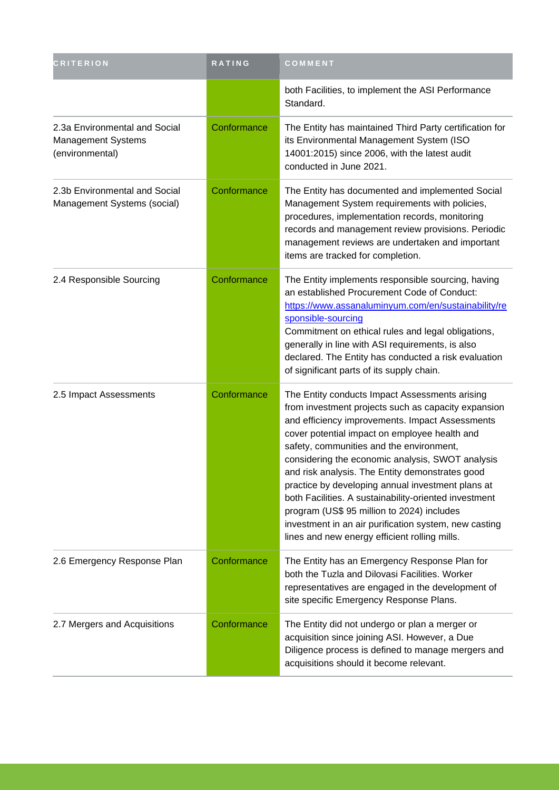| <b>CRITERION</b>                                                              | RATING      | COMMENT                                                                                                                                                                                                                                                                                                                                                                                                                                                                                                                                                                                                                            |
|-------------------------------------------------------------------------------|-------------|------------------------------------------------------------------------------------------------------------------------------------------------------------------------------------------------------------------------------------------------------------------------------------------------------------------------------------------------------------------------------------------------------------------------------------------------------------------------------------------------------------------------------------------------------------------------------------------------------------------------------------|
|                                                                               |             | both Facilities, to implement the ASI Performance<br>Standard.                                                                                                                                                                                                                                                                                                                                                                                                                                                                                                                                                                     |
| 2.3a Environmental and Social<br><b>Management Systems</b><br>(environmental) | Conformance | The Entity has maintained Third Party certification for<br>its Environmental Management System (ISO<br>14001:2015) since 2006, with the latest audit<br>conducted in June 2021.                                                                                                                                                                                                                                                                                                                                                                                                                                                    |
| 2.3b Environmental and Social<br>Management Systems (social)                  | Conformance | The Entity has documented and implemented Social<br>Management System requirements with policies,<br>procedures, implementation records, monitoring<br>records and management review provisions. Periodic<br>management reviews are undertaken and important<br>items are tracked for completion.                                                                                                                                                                                                                                                                                                                                  |
| 2.4 Responsible Sourcing                                                      | Conformance | The Entity implements responsible sourcing, having<br>an established Procurement Code of Conduct:<br>https://www.assanaluminyum.com/en/sustainability/re<br>sponsible-sourcing<br>Commitment on ethical rules and legal obligations,<br>generally in line with ASI requirements, is also<br>declared. The Entity has conducted a risk evaluation<br>of significant parts of its supply chain.                                                                                                                                                                                                                                      |
| 2.5 Impact Assessments                                                        | Conformance | The Entity conducts Impact Assessments arising<br>from investment projects such as capacity expansion<br>and efficiency improvements. Impact Assessments<br>cover potential impact on employee health and<br>safety, communities and the environment,<br>considering the economic analysis, SWOT analysis<br>and risk analysis. The Entity demonstrates good<br>practice by developing annual investment plans at<br>both Facilities. A sustainability-oriented investment<br>program (US\$ 95 million to 2024) includes<br>investment in an air purification system, new casting<br>lines and new energy efficient rolling mills. |
| 2.6 Emergency Response Plan                                                   | Conformance | The Entity has an Emergency Response Plan for<br>both the Tuzla and Dilovasi Facilities. Worker<br>representatives are engaged in the development of<br>site specific Emergency Response Plans.                                                                                                                                                                                                                                                                                                                                                                                                                                    |
| 2.7 Mergers and Acquisitions                                                  | Conformance | The Entity did not undergo or plan a merger or<br>acquisition since joining ASI. However, a Due<br>Diligence process is defined to manage mergers and<br>acquisitions should it become relevant.                                                                                                                                                                                                                                                                                                                                                                                                                                   |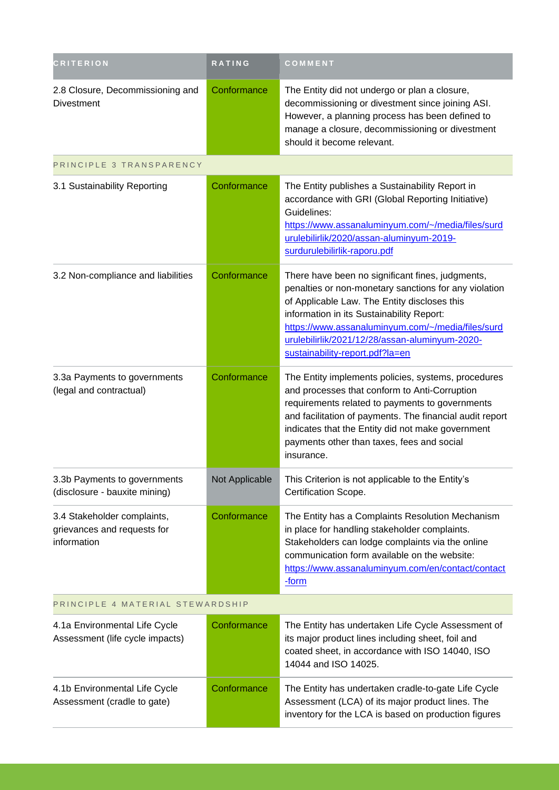| <b>CRITERION</b>                                                          | <b>RATING</b>  | COMMENT                                                                                                                                                                                                                                                                                                                                          |  |
|---------------------------------------------------------------------------|----------------|--------------------------------------------------------------------------------------------------------------------------------------------------------------------------------------------------------------------------------------------------------------------------------------------------------------------------------------------------|--|
| 2.8 Closure, Decommissioning and<br><b>Divestment</b>                     | Conformance    | The Entity did not undergo or plan a closure,<br>decommissioning or divestment since joining ASI.<br>However, a planning process has been defined to<br>manage a closure, decommissioning or divestment<br>should it become relevant.                                                                                                            |  |
| PRINCIPLE 3 TRANSPARENCY                                                  |                |                                                                                                                                                                                                                                                                                                                                                  |  |
| 3.1 Sustainability Reporting                                              | Conformance    | The Entity publishes a Sustainability Report in<br>accordance with GRI (Global Reporting Initiative)<br>Guidelines:<br>https://www.assanaluminyum.com/~/media/files/surd<br>urulebilirlik/2020/assan-aluminyum-2019-<br>surdurulebilirlik-raporu.pdf                                                                                             |  |
| 3.2 Non-compliance and liabilities                                        | Conformance    | There have been no significant fines, judgments,<br>penalties or non-monetary sanctions for any violation<br>of Applicable Law. The Entity discloses this<br>information in its Sustainability Report:<br>https://www.assanaluminyum.com/~/media/files/surd<br>urulebilirlik/2021/12/28/assan-aluminyum-2020-<br>sustainability-report.pdf?la=en |  |
| 3.3a Payments to governments<br>(legal and contractual)                   | Conformance    | The Entity implements policies, systems, procedures<br>and processes that conform to Anti-Corruption<br>requirements related to payments to governments<br>and facilitation of payments. The financial audit report<br>indicates that the Entity did not make government<br>payments other than taxes, fees and social<br>insurance.             |  |
| 3.3b Payments to governments<br>(disclosure - bauxite mining)             | Not Applicable | This Criterion is not applicable to the Entity's<br>Certification Scope.                                                                                                                                                                                                                                                                         |  |
| 3.4 Stakeholder complaints,<br>grievances and requests for<br>information | Conformance    | The Entity has a Complaints Resolution Mechanism<br>in place for handling stakeholder complaints.<br>Stakeholders can lodge complaints via the online<br>communication form available on the website:<br>https://www.assanaluminyum.com/en/contact/contact<br><u>-form</u>                                                                       |  |
| PRINCIPLE 4 MATERIAL STEWARDSHIP                                          |                |                                                                                                                                                                                                                                                                                                                                                  |  |
| 4.1a Environmental Life Cycle<br>Assessment (life cycle impacts)          | Conformance    | The Entity has undertaken Life Cycle Assessment of<br>its major product lines including sheet, foil and<br>coated sheet, in accordance with ISO 14040, ISO<br>14044 and ISO 14025.                                                                                                                                                               |  |
| 4.1b Environmental Life Cycle<br>Assessment (cradle to gate)              | Conformance    | The Entity has undertaken cradle-to-gate Life Cycle<br>Assessment (LCA) of its major product lines. The<br>inventory for the LCA is based on production figures                                                                                                                                                                                  |  |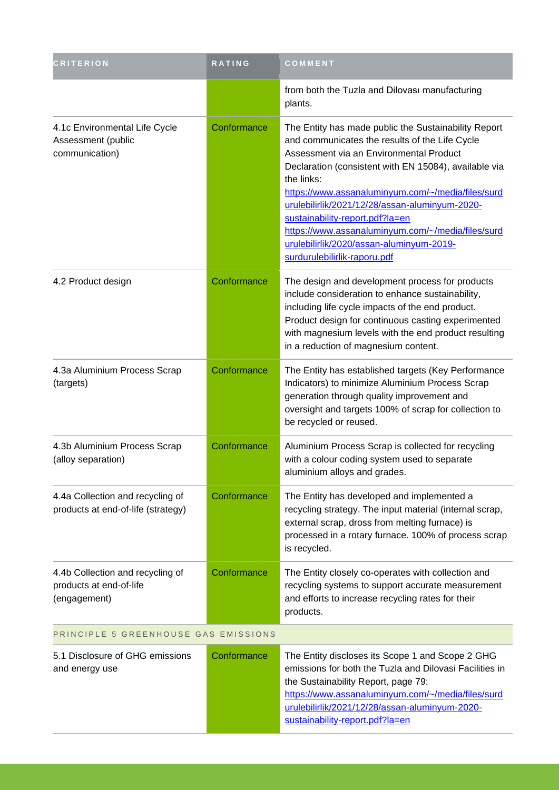| <b>CRITERION</b>                                                            | RATING      | COMMENT                                                                                                                                                                                                                                                                                                                                                                                                                                                                                             |  |
|-----------------------------------------------------------------------------|-------------|-----------------------------------------------------------------------------------------------------------------------------------------------------------------------------------------------------------------------------------------------------------------------------------------------------------------------------------------------------------------------------------------------------------------------------------------------------------------------------------------------------|--|
|                                                                             |             | from both the Tuzla and Dilovasi manufacturing<br>plants.                                                                                                                                                                                                                                                                                                                                                                                                                                           |  |
| 4.1c Environmental Life Cycle<br>Assessment (public<br>communication)       | Conformance | The Entity has made public the Sustainability Report<br>and communicates the results of the Life Cycle<br>Assessment via an Environmental Product<br>Declaration (consistent with EN 15084), available via<br>the links:<br>https://www.assanaluminyum.com/~/media/files/surd<br>urulebilirlik/2021/12/28/assan-aluminyum-2020-<br>sustainability-report.pdf?la=en<br>https://www.assanaluminyum.com/~/media/files/surd<br>urulebilirlik/2020/assan-aluminyum-2019-<br>surdurulebilirlik-raporu.pdf |  |
| 4.2 Product design                                                          | Conformance | The design and development process for products<br>include consideration to enhance sustainability,<br>including life cycle impacts of the end product.<br>Product design for continuous casting experimented<br>with magnesium levels with the end product resulting<br>in a reduction of magnesium content.                                                                                                                                                                                       |  |
| 4.3a Aluminium Process Scrap<br>(targets)                                   | Conformance | The Entity has established targets (Key Performance<br>Indicators) to minimize Aluminium Process Scrap<br>generation through quality improvement and<br>oversight and targets 100% of scrap for collection to<br>be recycled or reused.                                                                                                                                                                                                                                                             |  |
| 4.3b Aluminium Process Scrap<br>(alloy separation)                          | Conformance | Aluminium Process Scrap is collected for recycling<br>with a colour coding system used to separate<br>aluminium alloys and grades.                                                                                                                                                                                                                                                                                                                                                                  |  |
| 4.4a Collection and recycling of<br>products at end-of-life (strategy)      | Conformance | The Entity has developed and implemented a<br>recycling strategy. The input material (internal scrap,<br>external scrap, dross from melting furnace) is<br>processed in a rotary furnace. 100% of process scrap<br>is recycled.                                                                                                                                                                                                                                                                     |  |
| 4.4b Collection and recycling of<br>products at end-of-life<br>(engagement) | Conformance | The Entity closely co-operates with collection and<br>recycling systems to support accurate measurement<br>and efforts to increase recycling rates for their<br>products.                                                                                                                                                                                                                                                                                                                           |  |
| PRINCIPLE 5 GREENHOUSE GAS EMISSIONS                                        |             |                                                                                                                                                                                                                                                                                                                                                                                                                                                                                                     |  |
| 5.1 Disclosure of GHG emissions<br>and energy use                           | Conformance | The Entity discloses its Scope 1 and Scope 2 GHG<br>emissions for both the Tuzla and Dilovasi Facilities in<br>the Sustainability Report, page 79:<br>https://www.assanaluminyum.com/~/media/files/surd<br>urulebilirlik/2021/12/28/assan-aluminyum-2020-<br>sustainability-report.pdf?la=en                                                                                                                                                                                                        |  |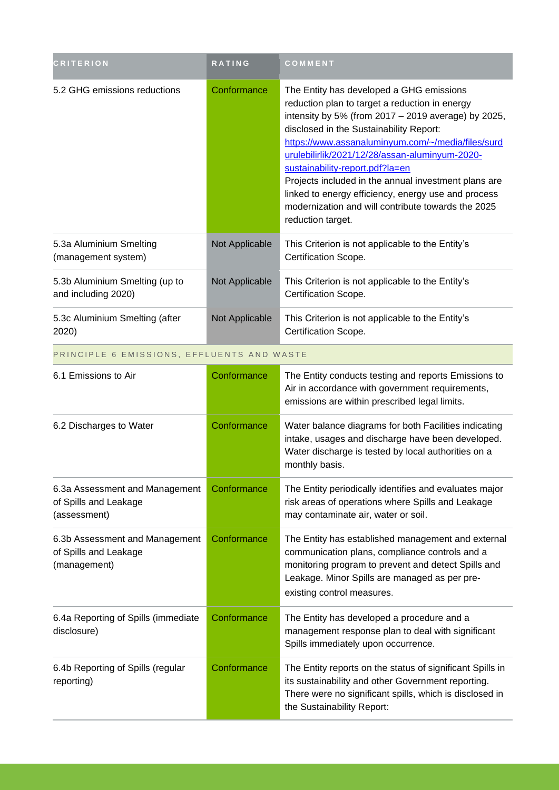| <b>CRITERION</b>                                                        | RATING         | COMMENT                                                                                                                                                                                                                                                                                                                                                                                                                                                                                                                            |  |
|-------------------------------------------------------------------------|----------------|------------------------------------------------------------------------------------------------------------------------------------------------------------------------------------------------------------------------------------------------------------------------------------------------------------------------------------------------------------------------------------------------------------------------------------------------------------------------------------------------------------------------------------|--|
| 5.2 GHG emissions reductions                                            | Conformance    | The Entity has developed a GHG emissions<br>reduction plan to target a reduction in energy<br>intensity by 5% (from $2017 - 2019$ average) by 2025,<br>disclosed in the Sustainability Report:<br>https://www.assanaluminyum.com/~/media/files/surd<br>urulebilirlik/2021/12/28/assan-aluminyum-2020-<br>sustainability-report.pdf?la=en<br>Projects included in the annual investment plans are<br>linked to energy efficiency, energy use and process<br>modernization and will contribute towards the 2025<br>reduction target. |  |
| 5.3a Aluminium Smelting<br>(management system)                          | Not Applicable | This Criterion is not applicable to the Entity's<br>Certification Scope.                                                                                                                                                                                                                                                                                                                                                                                                                                                           |  |
| 5.3b Aluminium Smelting (up to<br>and including 2020)                   | Not Applicable | This Criterion is not applicable to the Entity's<br>Certification Scope.                                                                                                                                                                                                                                                                                                                                                                                                                                                           |  |
| 5.3c Aluminium Smelting (after<br>2020)                                 | Not Applicable | This Criterion is not applicable to the Entity's<br>Certification Scope.                                                                                                                                                                                                                                                                                                                                                                                                                                                           |  |
| PRINCIPLE 6 EMISSIONS, EFFLUENTS AND WASTE                              |                |                                                                                                                                                                                                                                                                                                                                                                                                                                                                                                                                    |  |
| 6.1 Emissions to Air                                                    | Conformance    | The Entity conducts testing and reports Emissions to<br>Air in accordance with government requirements,<br>emissions are within prescribed legal limits.                                                                                                                                                                                                                                                                                                                                                                           |  |
| 6.2 Discharges to Water                                                 | Conformance    | Water balance diagrams for both Facilities indicating<br>intake, usages and discharge have been developed.<br>Water discharge is tested by local authorities on a<br>monthly basis.                                                                                                                                                                                                                                                                                                                                                |  |
| 6.3a Assessment and Management<br>of Spills and Leakage<br>(assessment) | Conformance    | The Entity periodically identifies and evaluates major<br>risk areas of operations where Spills and Leakage<br>may contaminate air, water or soil.                                                                                                                                                                                                                                                                                                                                                                                 |  |
| 6.3b Assessment and Management<br>of Spills and Leakage<br>(management) | Conformance    | The Entity has established management and external<br>communication plans, compliance controls and a<br>monitoring program to prevent and detect Spills and<br>Leakage. Minor Spills are managed as per pre-<br>existing control measures.                                                                                                                                                                                                                                                                                         |  |
| 6.4a Reporting of Spills (immediate<br>disclosure)                      | Conformance    | The Entity has developed a procedure and a<br>management response plan to deal with significant<br>Spills immediately upon occurrence.                                                                                                                                                                                                                                                                                                                                                                                             |  |
| 6.4b Reporting of Spills (regular<br>reporting)                         | Conformance    | The Entity reports on the status of significant Spills in<br>its sustainability and other Government reporting.<br>There were no significant spills, which is disclosed in<br>the Sustainability Report:                                                                                                                                                                                                                                                                                                                           |  |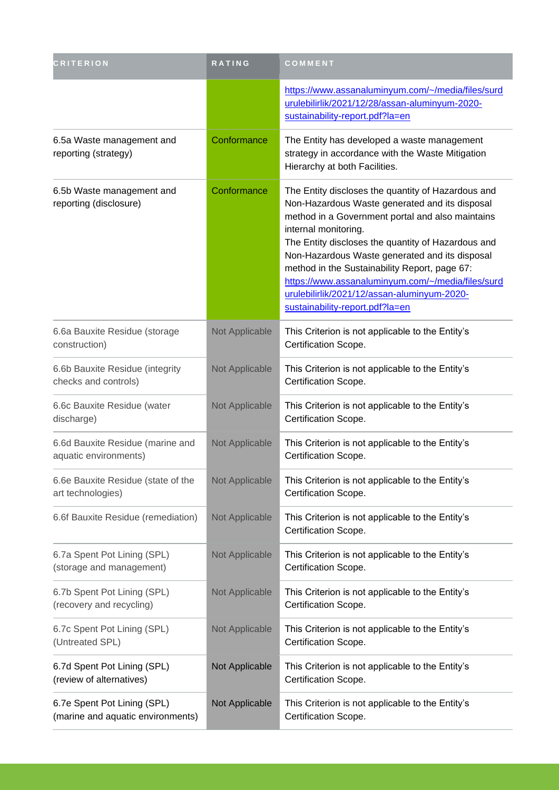| <b>CRITERION</b>                                                 | RATING         | COMMENT                                                                                                                                                                                                                                                                                                                                                                                                                                                                          |
|------------------------------------------------------------------|----------------|----------------------------------------------------------------------------------------------------------------------------------------------------------------------------------------------------------------------------------------------------------------------------------------------------------------------------------------------------------------------------------------------------------------------------------------------------------------------------------|
|                                                                  |                | https://www.assanaluminyum.com/~/media/files/surd<br>urulebilirlik/2021/12/28/assan-aluminyum-2020-<br>sustainability-report.pdf?la=en                                                                                                                                                                                                                                                                                                                                           |
| 6.5a Waste management and<br>reporting (strategy)                | Conformance    | The Entity has developed a waste management<br>strategy in accordance with the Waste Mitigation<br>Hierarchy at both Facilities.                                                                                                                                                                                                                                                                                                                                                 |
| 6.5b Waste management and<br>reporting (disclosure)              | Conformance    | The Entity discloses the quantity of Hazardous and<br>Non-Hazardous Waste generated and its disposal<br>method in a Government portal and also maintains<br>internal monitoring.<br>The Entity discloses the quantity of Hazardous and<br>Non-Hazardous Waste generated and its disposal<br>method in the Sustainability Report, page 67:<br>https://www.assanaluminyum.com/~/media/files/surd<br>urulebilirlik/2021/12/assan-aluminyum-2020-<br>sustainability-report.pdf?la=en |
| 6.6a Bauxite Residue (storage<br>construction)                   | Not Applicable | This Criterion is not applicable to the Entity's<br>Certification Scope.                                                                                                                                                                                                                                                                                                                                                                                                         |
| 6.6b Bauxite Residue (integrity<br>checks and controls)          | Not Applicable | This Criterion is not applicable to the Entity's<br>Certification Scope.                                                                                                                                                                                                                                                                                                                                                                                                         |
| 6.6c Bauxite Residue (water<br>discharge)                        | Not Applicable | This Criterion is not applicable to the Entity's<br>Certification Scope.                                                                                                                                                                                                                                                                                                                                                                                                         |
| 6.6d Bauxite Residue (marine and<br>aquatic environments)        | Not Applicable | This Criterion is not applicable to the Entity's<br>Certification Scope.                                                                                                                                                                                                                                                                                                                                                                                                         |
| 6.6e Bauxite Residue (state of the<br>art technologies)          | Not Applicable | This Criterion is not applicable to the Entity's<br>Certification Scope.                                                                                                                                                                                                                                                                                                                                                                                                         |
| 6.6f Bauxite Residue (remediation)                               | Not Applicable | This Criterion is not applicable to the Entity's<br>Certification Scope.                                                                                                                                                                                                                                                                                                                                                                                                         |
| 6.7a Spent Pot Lining (SPL)<br>(storage and management)          | Not Applicable | This Criterion is not applicable to the Entity's<br>Certification Scope.                                                                                                                                                                                                                                                                                                                                                                                                         |
| 6.7b Spent Pot Lining (SPL)<br>(recovery and recycling)          | Not Applicable | This Criterion is not applicable to the Entity's<br>Certification Scope.                                                                                                                                                                                                                                                                                                                                                                                                         |
| 6.7c Spent Pot Lining (SPL)<br>(Untreated SPL)                   | Not Applicable | This Criterion is not applicable to the Entity's<br>Certification Scope.                                                                                                                                                                                                                                                                                                                                                                                                         |
| 6.7d Spent Pot Lining (SPL)<br>(review of alternatives)          | Not Applicable | This Criterion is not applicable to the Entity's<br>Certification Scope.                                                                                                                                                                                                                                                                                                                                                                                                         |
| 6.7e Spent Pot Lining (SPL)<br>(marine and aquatic environments) | Not Applicable | This Criterion is not applicable to the Entity's<br>Certification Scope.                                                                                                                                                                                                                                                                                                                                                                                                         |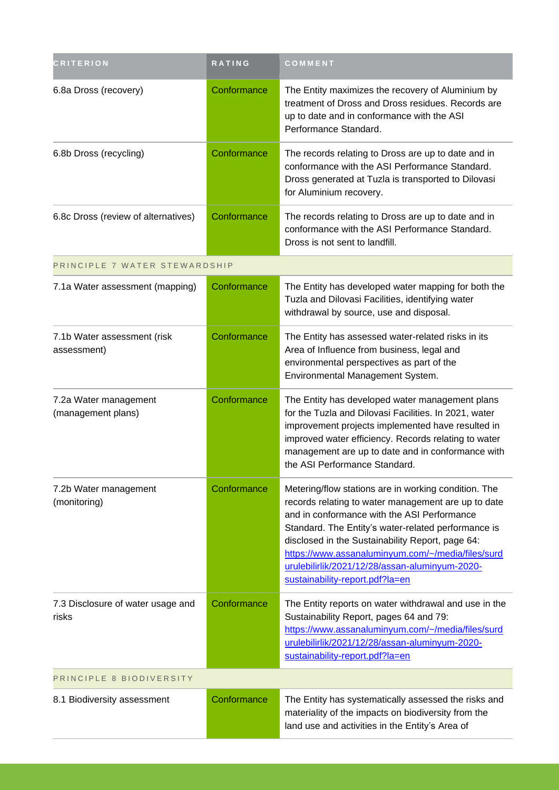| <b>CRITERION</b>                            | <b>RATING</b> | COMMENT                                                                                                                                                                                                                                                                                                                                                                                                         |  |
|---------------------------------------------|---------------|-----------------------------------------------------------------------------------------------------------------------------------------------------------------------------------------------------------------------------------------------------------------------------------------------------------------------------------------------------------------------------------------------------------------|--|
| 6.8a Dross (recovery)                       | Conformance   | The Entity maximizes the recovery of Aluminium by<br>treatment of Dross and Dross residues. Records are<br>up to date and in conformance with the ASI<br>Performance Standard.                                                                                                                                                                                                                                  |  |
| 6.8b Dross (recycling)                      | Conformance   | The records relating to Dross are up to date and in<br>conformance with the ASI Performance Standard.<br>Dross generated at Tuzla is transported to Dilovasi<br>for Aluminium recovery.                                                                                                                                                                                                                         |  |
| 6.8c Dross (review of alternatives)         | Conformance   | The records relating to Dross are up to date and in<br>conformance with the ASI Performance Standard.<br>Dross is not sent to landfill.                                                                                                                                                                                                                                                                         |  |
| PRINCIPLE 7 WATER STEWARDSHIP               |               |                                                                                                                                                                                                                                                                                                                                                                                                                 |  |
| 7.1a Water assessment (mapping)             | Conformance   | The Entity has developed water mapping for both the<br>Tuzla and Dilovasi Facilities, identifying water<br>withdrawal by source, use and disposal.                                                                                                                                                                                                                                                              |  |
| 7.1b Water assessment (risk<br>assessment)  | Conformance   | The Entity has assessed water-related risks in its<br>Area of Influence from business, legal and<br>environmental perspectives as part of the<br>Environmental Management System.                                                                                                                                                                                                                               |  |
| 7.2a Water management<br>(management plans) | Conformance   | The Entity has developed water management plans<br>for the Tuzla and Dilovasi Facilities. In 2021, water<br>improvement projects implemented have resulted in<br>improved water efficiency. Records relating to water<br>management are up to date and in conformance with<br>the ASI Performance Standard.                                                                                                     |  |
| 7.2b Water management<br>(monitoring)       | Conformance   | Metering/flow stations are in working condition. The<br>records relating to water management are up to date<br>and in conformance with the ASI Performance<br>Standard. The Entity's water-related performance is<br>disclosed in the Sustainability Report, page 64:<br>https://www.assanaluminyum.com/~/media/files/surd<br>urulebilirlik/2021/12/28/assan-aluminyum-2020-<br>sustainability-report.pdf?la=en |  |
| 7.3 Disclosure of water usage and<br>risks  | Conformance   | The Entity reports on water withdrawal and use in the<br>Sustainability Report, pages 64 and 79:<br>https://www.assanaluminyum.com/~/media/files/surd<br>urulebilirlik/2021/12/28/assan-aluminyum-2020-<br>sustainability-report.pdf?la=en                                                                                                                                                                      |  |
| PRINCIPLE 8 BIODIVERSITY                    |               |                                                                                                                                                                                                                                                                                                                                                                                                                 |  |
| 8.1 Biodiversity assessment                 | Conformance   | The Entity has systematically assessed the risks and<br>materiality of the impacts on biodiversity from the<br>land use and activities in the Entity's Area of                                                                                                                                                                                                                                                  |  |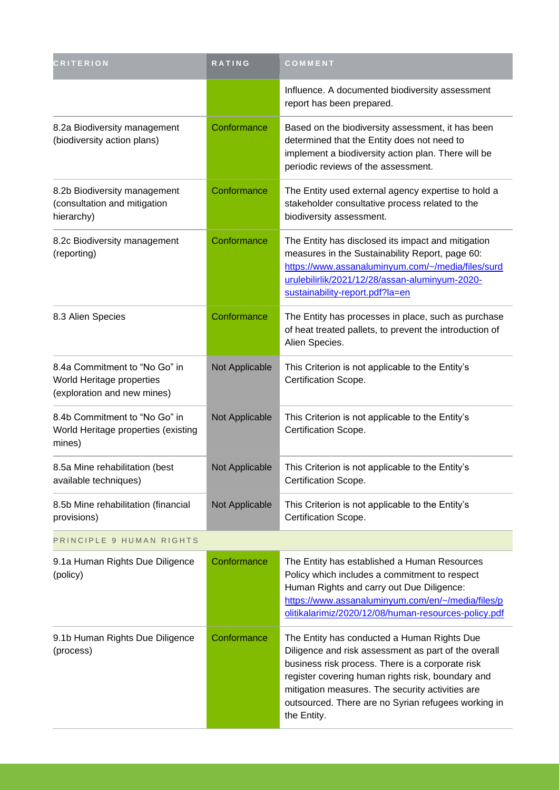| <b>CRITERION</b>                                                                          | <b>RATING</b>  | COMMENT                                                                                                                                                                                                                                                                                                                                |
|-------------------------------------------------------------------------------------------|----------------|----------------------------------------------------------------------------------------------------------------------------------------------------------------------------------------------------------------------------------------------------------------------------------------------------------------------------------------|
|                                                                                           |                | Influence. A documented biodiversity assessment<br>report has been prepared.                                                                                                                                                                                                                                                           |
| 8.2a Biodiversity management<br>(biodiversity action plans)                               | Conformance    | Based on the biodiversity assessment, it has been<br>determined that the Entity does not need to<br>implement a biodiversity action plan. There will be<br>periodic reviews of the assessment.                                                                                                                                         |
| 8.2b Biodiversity management<br>(consultation and mitigation<br>hierarchy)                | Conformance    | The Entity used external agency expertise to hold a<br>stakeholder consultative process related to the<br>biodiversity assessment.                                                                                                                                                                                                     |
| 8.2c Biodiversity management<br>(reporting)                                               | Conformance    | The Entity has disclosed its impact and mitigation<br>measures in the Sustainability Report, page 60:<br>https://www.assanaluminyum.com/~/media/files/surd<br>urulebilirlik/2021/12/28/assan-aluminyum-2020-<br>sustainability-report.pdf?la=en                                                                                        |
| 8.3 Alien Species                                                                         | Conformance    | The Entity has processes in place, such as purchase<br>of heat treated pallets, to prevent the introduction of<br>Alien Species.                                                                                                                                                                                                       |
| 8.4a Commitment to "No Go" in<br>World Heritage properties<br>(exploration and new mines) | Not Applicable | This Criterion is not applicable to the Entity's<br>Certification Scope.                                                                                                                                                                                                                                                               |
| 8.4b Commitment to "No Go" in<br>World Heritage properties (existing<br>mines)            | Not Applicable | This Criterion is not applicable to the Entity's<br>Certification Scope.                                                                                                                                                                                                                                                               |
| 8.5a Mine rehabilitation (best<br>available techniques)                                   | Not Applicable | This Criterion is not applicable to the Entity's<br>Certification Scope.                                                                                                                                                                                                                                                               |
| 8.5b Mine rehabilitation (financial<br>provisions)                                        | Not Applicable | This Criterion is not applicable to the Entity's<br>Certification Scope.                                                                                                                                                                                                                                                               |
| PRINCIPLE 9 HUMAN RIGHTS                                                                  |                |                                                                                                                                                                                                                                                                                                                                        |
| 9.1a Human Rights Due Diligence<br>(policy)                                               | Conformance    | The Entity has established a Human Resources<br>Policy which includes a commitment to respect<br>Human Rights and carry out Due Diligence:<br>https://www.assanaluminyum.com/en/~/media/files/p<br>olitikalarimiz/2020/12/08/human-resources-policy.pdf                                                                                |
| 9.1b Human Rights Due Diligence<br>(process)                                              | Conformance    | The Entity has conducted a Human Rights Due<br>Diligence and risk assessment as part of the overall<br>business risk process. There is a corporate risk<br>register covering human rights risk, boundary and<br>mitigation measures. The security activities are<br>outsourced. There are no Syrian refugees working in<br>the Entity. |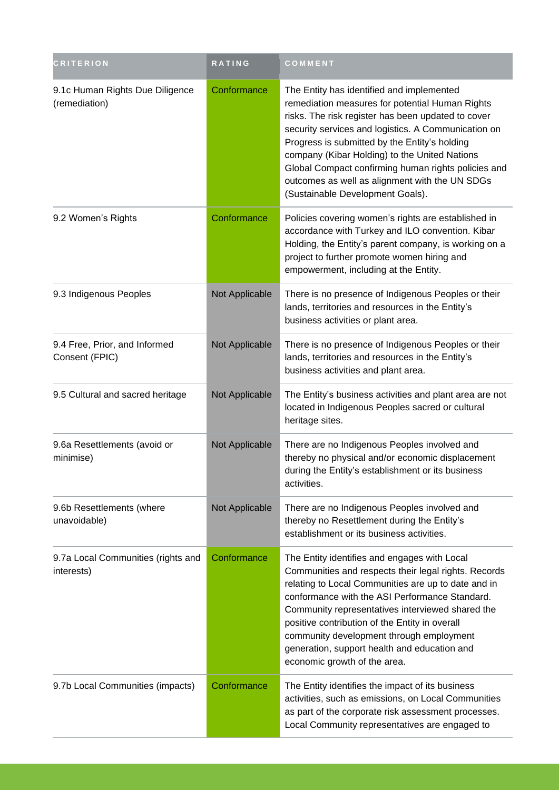| <b>CRITERION</b>                                 | RATING         | COMMENT                                                                                                                                                                                                                                                                                                                                                                                                                                                  |
|--------------------------------------------------|----------------|----------------------------------------------------------------------------------------------------------------------------------------------------------------------------------------------------------------------------------------------------------------------------------------------------------------------------------------------------------------------------------------------------------------------------------------------------------|
| 9.1c Human Rights Due Diligence<br>(remediation) | Conformance    | The Entity has identified and implemented<br>remediation measures for potential Human Rights<br>risks. The risk register has been updated to cover<br>security services and logistics. A Communication on<br>Progress is submitted by the Entity's holding<br>company (Kibar Holding) to the United Nations<br>Global Compact confirming human rights policies and<br>outcomes as well as alignment with the UN SDGs<br>(Sustainable Development Goals). |
| 9.2 Women's Rights                               | Conformance    | Policies covering women's rights are established in<br>accordance with Turkey and ILO convention. Kibar<br>Holding, the Entity's parent company, is working on a<br>project to further promote women hiring and<br>empowerment, including at the Entity.                                                                                                                                                                                                 |
| 9.3 Indigenous Peoples                           | Not Applicable | There is no presence of Indigenous Peoples or their<br>lands, territories and resources in the Entity's<br>business activities or plant area.                                                                                                                                                                                                                                                                                                            |
| 9.4 Free, Prior, and Informed<br>Consent (FPIC)  | Not Applicable | There is no presence of Indigenous Peoples or their<br>lands, territories and resources in the Entity's<br>business activities and plant area.                                                                                                                                                                                                                                                                                                           |
| 9.5 Cultural and sacred heritage                 | Not Applicable | The Entity's business activities and plant area are not<br>located in Indigenous Peoples sacred or cultural<br>heritage sites.                                                                                                                                                                                                                                                                                                                           |
| 9.6a Resettlements (avoid or<br>minimise)        | Not Applicable | There are no Indigenous Peoples involved and<br>thereby no physical and/or economic displacement<br>during the Entity's establishment or its business<br>activities.                                                                                                                                                                                                                                                                                     |
| 9.6b Resettlements (where<br>unavoidable)        | Not Applicable | There are no Indigenous Peoples involved and<br>thereby no Resettlement during the Entity's<br>establishment or its business activities.                                                                                                                                                                                                                                                                                                                 |
| 9.7a Local Communities (rights and<br>interests) | Conformance    | The Entity identifies and engages with Local<br>Communities and respects their legal rights. Records<br>relating to Local Communities are up to date and in<br>conformance with the ASI Performance Standard.<br>Community representatives interviewed shared the<br>positive contribution of the Entity in overall<br>community development through employment<br>generation, support health and education and<br>economic growth of the area.          |
| 9.7b Local Communities (impacts)                 | Conformance    | The Entity identifies the impact of its business<br>activities, such as emissions, on Local Communities<br>as part of the corporate risk assessment processes.<br>Local Community representatives are engaged to                                                                                                                                                                                                                                         |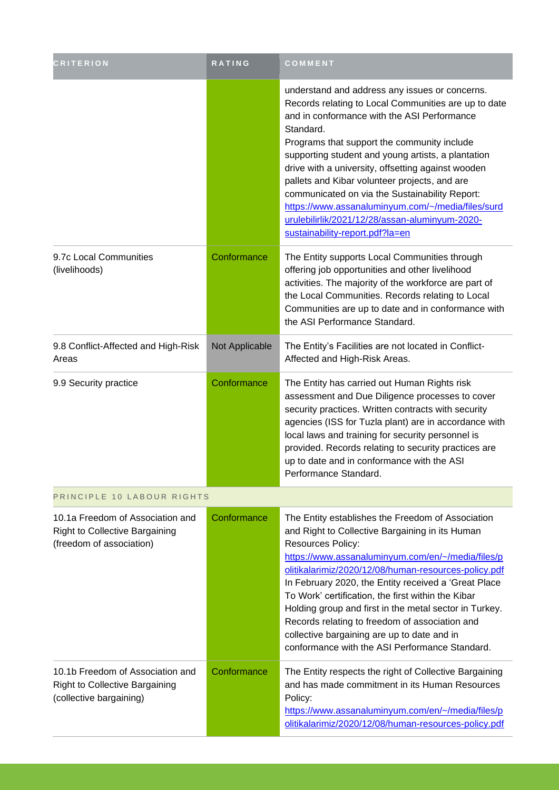| <b>CRITERION</b>                                                                                      | <b>RATING</b>  | COMMENT                                                                                                                                                                                                                                                                                                                                                                                                                                                                                                                                                                    |
|-------------------------------------------------------------------------------------------------------|----------------|----------------------------------------------------------------------------------------------------------------------------------------------------------------------------------------------------------------------------------------------------------------------------------------------------------------------------------------------------------------------------------------------------------------------------------------------------------------------------------------------------------------------------------------------------------------------------|
|                                                                                                       |                | understand and address any issues or concerns.<br>Records relating to Local Communities are up to date<br>and in conformance with the ASI Performance<br>Standard.<br>Programs that support the community include<br>supporting student and young artists, a plantation<br>drive with a university, offsetting against wooden<br>pallets and Kibar volunteer projects, and are<br>communicated on via the Sustainability Report:<br>https://www.assanaluminyum.com/~/media/files/surd<br>urulebilirlik/2021/12/28/assan-aluminyum-2020-<br>sustainability-report.pdf?la=en |
| 9.7c Local Communities<br>(livelihoods)                                                               | Conformance    | The Entity supports Local Communities through<br>offering job opportunities and other livelihood<br>activities. The majority of the workforce are part of<br>the Local Communities. Records relating to Local<br>Communities are up to date and in conformance with<br>the ASI Performance Standard.                                                                                                                                                                                                                                                                       |
| 9.8 Conflict-Affected and High-Risk<br>Areas                                                          | Not Applicable | The Entity's Facilities are not located in Conflict-<br>Affected and High-Risk Areas.                                                                                                                                                                                                                                                                                                                                                                                                                                                                                      |
| 9.9 Security practice                                                                                 | Conformance    | The Entity has carried out Human Rights risk<br>assessment and Due Diligence processes to cover<br>security practices. Written contracts with security<br>agencies (ISS for Tuzla plant) are in accordance with<br>local laws and training for security personnel is<br>provided. Records relating to security practices are<br>up to date and in conformance with the ASI<br>Performance Standard.                                                                                                                                                                        |
| PRINCIPLE 10 LABOUR RIGHTS                                                                            |                |                                                                                                                                                                                                                                                                                                                                                                                                                                                                                                                                                                            |
| 10.1a Freedom of Association and<br><b>Right to Collective Bargaining</b><br>(freedom of association) | Conformance    | The Entity establishes the Freedom of Association<br>and Right to Collective Bargaining in its Human<br>Resources Policy:<br>https://www.assanaluminyum.com/en/~/media/files/p<br>olitikalarimiz/2020/12/08/human-resources-policy.pdf<br>In February 2020, the Entity received a 'Great Place<br>To Work' certification, the first within the Kibar<br>Holding group and first in the metal sector in Turkey.<br>Records relating to freedom of association and<br>collective bargaining are up to date and in<br>conformance with the ASI Performance Standard.          |
| 10.1b Freedom of Association and<br><b>Right to Collective Bargaining</b><br>(collective bargaining)  | Conformance    | The Entity respects the right of Collective Bargaining<br>and has made commitment in its Human Resources<br>Policy:<br>https://www.assanaluminyum.com/en/~/media/files/p<br>olitikalarimiz/2020/12/08/human-resources-policy.pdf                                                                                                                                                                                                                                                                                                                                           |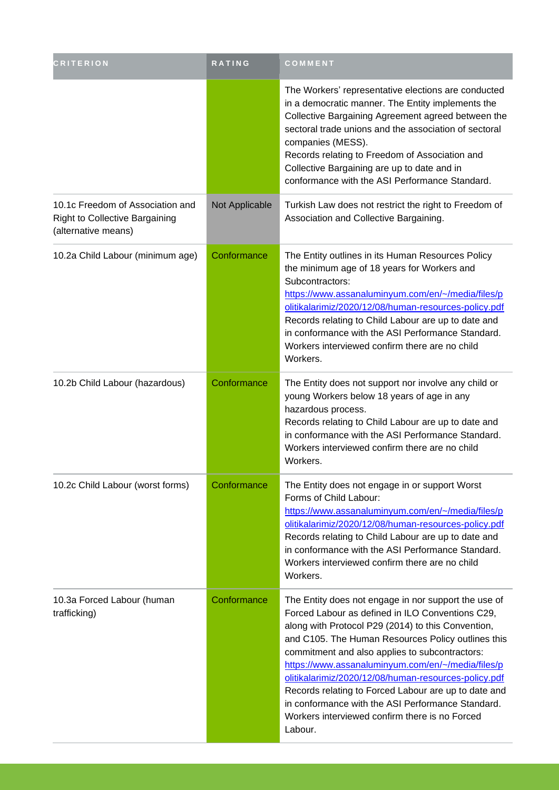| <b>CRITERION</b>                                                                                 | <b>RATING</b>  | COMMENT                                                                                                                                                                                                                                                                                                                                                                                                                                                                                                                                                       |
|--------------------------------------------------------------------------------------------------|----------------|---------------------------------------------------------------------------------------------------------------------------------------------------------------------------------------------------------------------------------------------------------------------------------------------------------------------------------------------------------------------------------------------------------------------------------------------------------------------------------------------------------------------------------------------------------------|
|                                                                                                  |                | The Workers' representative elections are conducted<br>in a democratic manner. The Entity implements the<br>Collective Bargaining Agreement agreed between the<br>sectoral trade unions and the association of sectoral<br>companies (MESS).<br>Records relating to Freedom of Association and<br>Collective Bargaining are up to date and in<br>conformance with the ASI Performance Standard.                                                                                                                                                               |
| 10.1c Freedom of Association and<br><b>Right to Collective Bargaining</b><br>(alternative means) | Not Applicable | Turkish Law does not restrict the right to Freedom of<br>Association and Collective Bargaining.                                                                                                                                                                                                                                                                                                                                                                                                                                                               |
| 10.2a Child Labour (minimum age)                                                                 | Conformance    | The Entity outlines in its Human Resources Policy<br>the minimum age of 18 years for Workers and<br>Subcontractors:<br>https://www.assanaluminyum.com/en/~/media/files/p<br>olitikalarimiz/2020/12/08/human-resources-policy.pdf<br>Records relating to Child Labour are up to date and<br>in conformance with the ASI Performance Standard.<br>Workers interviewed confirm there are no child<br>Workers.                                                                                                                                                    |
| 10.2b Child Labour (hazardous)                                                                   | Conformance    | The Entity does not support nor involve any child or<br>young Workers below 18 years of age in any<br>hazardous process.<br>Records relating to Child Labour are up to date and<br>in conformance with the ASI Performance Standard.<br>Workers interviewed confirm there are no child<br>Workers.                                                                                                                                                                                                                                                            |
| 10.2c Child Labour (worst forms)                                                                 | Conformance    | The Entity does not engage in or support Worst<br>Forms of Child Labour:<br>https://www.assanaluminyum.com/en/~/media/files/p<br>olitikalarimiz/2020/12/08/human-resources-policy.pdf<br>Records relating to Child Labour are up to date and<br>in conformance with the ASI Performance Standard.<br>Workers interviewed confirm there are no child<br>Workers.                                                                                                                                                                                               |
| 10.3a Forced Labour (human<br>trafficking)                                                       | Conformance    | The Entity does not engage in nor support the use of<br>Forced Labour as defined in ILO Conventions C29,<br>along with Protocol P29 (2014) to this Convention,<br>and C105. The Human Resources Policy outlines this<br>commitment and also applies to subcontractors:<br>https://www.assanaluminyum.com/en/~/media/files/p<br>olitikalarimiz/2020/12/08/human-resources-policy.pdf<br>Records relating to Forced Labour are up to date and<br>in conformance with the ASI Performance Standard.<br>Workers interviewed confirm there is no Forced<br>Labour. |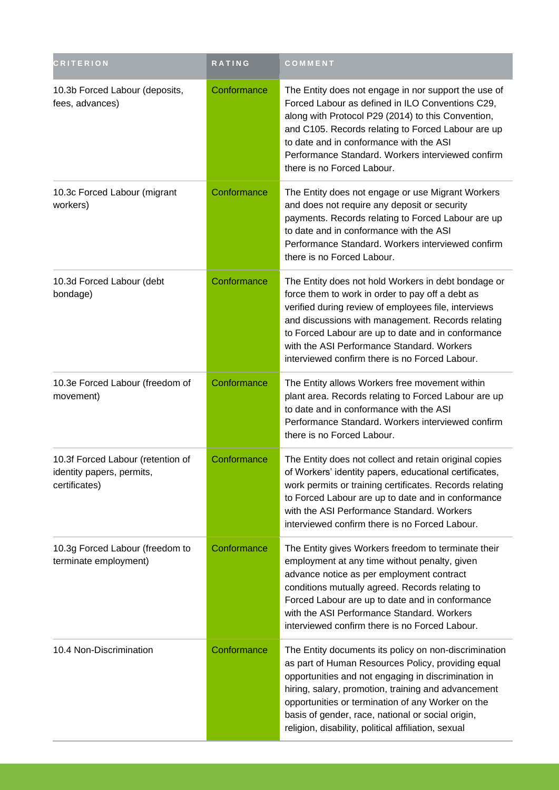| <b>CRITERION</b>                                                                | <b>RATING</b> | COMMENT                                                                                                                                                                                                                                                                                                                                                                                    |
|---------------------------------------------------------------------------------|---------------|--------------------------------------------------------------------------------------------------------------------------------------------------------------------------------------------------------------------------------------------------------------------------------------------------------------------------------------------------------------------------------------------|
| 10.3b Forced Labour (deposits,<br>fees, advances)                               | Conformance   | The Entity does not engage in nor support the use of<br>Forced Labour as defined in ILO Conventions C29,<br>along with Protocol P29 (2014) to this Convention,<br>and C105. Records relating to Forced Labour are up<br>to date and in conformance with the ASI<br>Performance Standard. Workers interviewed confirm<br>there is no Forced Labour.                                         |
| 10.3c Forced Labour (migrant<br>workers)                                        | Conformance   | The Entity does not engage or use Migrant Workers<br>and does not require any deposit or security<br>payments. Records relating to Forced Labour are up<br>to date and in conformance with the ASI<br>Performance Standard. Workers interviewed confirm<br>there is no Forced Labour.                                                                                                      |
| 10.3d Forced Labour (debt<br>bondage)                                           | Conformance   | The Entity does not hold Workers in debt bondage or<br>force them to work in order to pay off a debt as<br>verified during review of employees file, interviews<br>and discussions with management. Records relating<br>to Forced Labour are up to date and in conformance<br>with the ASI Performance Standard. Workers<br>interviewed confirm there is no Forced Labour.                 |
| 10.3e Forced Labour (freedom of<br>movement)                                    | Conformance   | The Entity allows Workers free movement within<br>plant area. Records relating to Forced Labour are up<br>to date and in conformance with the ASI<br>Performance Standard. Workers interviewed confirm<br>there is no Forced Labour.                                                                                                                                                       |
| 10.3f Forced Labour (retention of<br>identity papers, permits,<br>certificates) | Conformance   | The Entity does not collect and retain original copies<br>of Workers' identity papers, educational certificates,<br>work permits or training certificates. Records relating<br>to Forced Labour are up to date and in conformance<br>with the ASI Performance Standard. Workers<br>interviewed confirm there is no Forced Labour.                                                          |
| 10.3g Forced Labour (freedom to<br>terminate employment)                        | Conformance   | The Entity gives Workers freedom to terminate their<br>employment at any time without penalty, given<br>advance notice as per employment contract<br>conditions mutually agreed. Records relating to<br>Forced Labour are up to date and in conformance<br>with the ASI Performance Standard. Workers<br>interviewed confirm there is no Forced Labour.                                    |
| 10.4 Non-Discrimination                                                         | Conformance   | The Entity documents its policy on non-discrimination<br>as part of Human Resources Policy, providing equal<br>opportunities and not engaging in discrimination in<br>hiring, salary, promotion, training and advancement<br>opportunities or termination of any Worker on the<br>basis of gender, race, national or social origin,<br>religion, disability, political affiliation, sexual |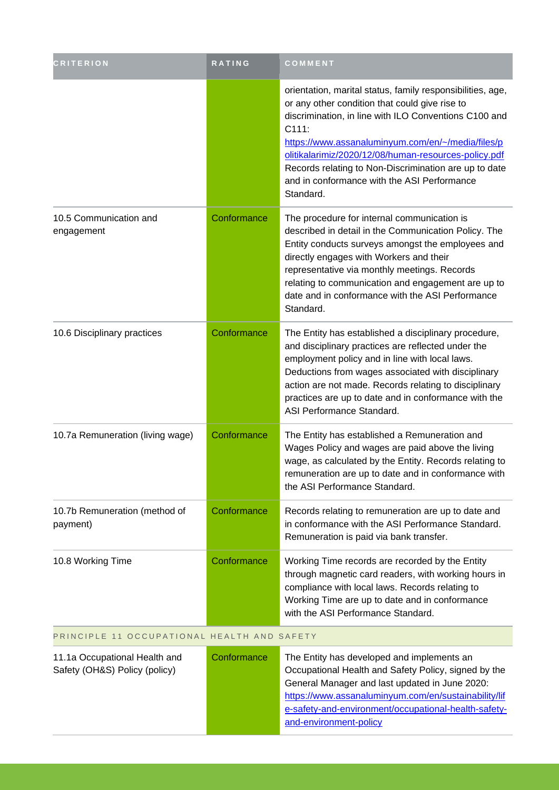| <b>CRITERION</b>                                               | <b>RATING</b> | COMMENT                                                                                                                                                                                                                                                                                                                                                                                                          |
|----------------------------------------------------------------|---------------|------------------------------------------------------------------------------------------------------------------------------------------------------------------------------------------------------------------------------------------------------------------------------------------------------------------------------------------------------------------------------------------------------------------|
|                                                                |               | orientation, marital status, family responsibilities, age,<br>or any other condition that could give rise to<br>discrimination, in line with ILO Conventions C100 and<br>C111:<br>https://www.assanaluminyum.com/en/~/media/files/p<br>olitikalarimiz/2020/12/08/human-resources-policy.pdf<br>Records relating to Non-Discrimination are up to date<br>and in conformance with the ASI Performance<br>Standard. |
| 10.5 Communication and<br>engagement                           | Conformance   | The procedure for internal communication is<br>described in detail in the Communication Policy. The<br>Entity conducts surveys amongst the employees and<br>directly engages with Workers and their<br>representative via monthly meetings. Records<br>relating to communication and engagement are up to<br>date and in conformance with the ASI Performance<br>Standard.                                       |
| 10.6 Disciplinary practices                                    | Conformance   | The Entity has established a disciplinary procedure,<br>and disciplinary practices are reflected under the<br>employment policy and in line with local laws.<br>Deductions from wages associated with disciplinary<br>action are not made. Records relating to disciplinary<br>practices are up to date and in conformance with the<br>ASI Performance Standard.                                                 |
| 10.7a Remuneration (living wage)                               | Conformance   | The Entity has established a Remuneration and<br>Wages Policy and wages are paid above the living<br>wage, as calculated by the Entity. Records relating to<br>remuneration are up to date and in conformance with<br>the ASI Performance Standard.                                                                                                                                                              |
| 10.7b Remuneration (method of<br>payment)                      | Conformance   | Records relating to remuneration are up to date and<br>in conformance with the ASI Performance Standard.<br>Remuneration is paid via bank transfer.                                                                                                                                                                                                                                                              |
| 10.8 Working Time                                              | Conformance   | Working Time records are recorded by the Entity<br>through magnetic card readers, with working hours in<br>compliance with local laws. Records relating to<br>Working Time are up to date and in conformance<br>with the ASI Performance Standard.                                                                                                                                                               |
| PRINCIPLE 11 OCCUPATIONAL HEALTH AND SAFETY                    |               |                                                                                                                                                                                                                                                                                                                                                                                                                  |
| 11.1a Occupational Health and<br>Safety (OH&S) Policy (policy) | Conformance   | The Entity has developed and implements an<br>Occupational Health and Safety Policy, signed by the<br>General Manager and last updated in June 2020:                                                                                                                                                                                                                                                             |

[https://www.assanaluminyum.com/en/sustainability/lif](https://www.assanaluminyum.com/en/sustainability/life-safety-and-environment/occupational-health-safety-and-environment-policy) [e-safety-and-environment/occupational-health-safety-](https://www.assanaluminyum.com/en/sustainability/life-safety-and-environment/occupational-health-safety-and-environment-policy)

[and-environment-policy](https://www.assanaluminyum.com/en/sustainability/life-safety-and-environment/occupational-health-safety-and-environment-policy)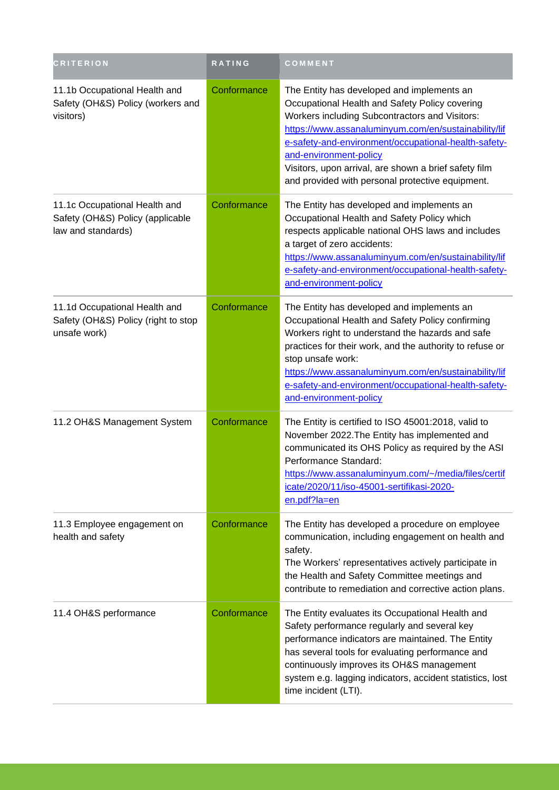| <b>CRITERION</b>                                                                        | RATING      | COMMENT                                                                                                                                                                                                                                                                                                                                                                                               |
|-----------------------------------------------------------------------------------------|-------------|-------------------------------------------------------------------------------------------------------------------------------------------------------------------------------------------------------------------------------------------------------------------------------------------------------------------------------------------------------------------------------------------------------|
| 11.1b Occupational Health and<br>Safety (OH&S) Policy (workers and<br>visitors)         | Conformance | The Entity has developed and implements an<br>Occupational Health and Safety Policy covering<br>Workers including Subcontractors and Visitors:<br>https://www.assanaluminyum.com/en/sustainability/lif<br>e-safety-and-environment/occupational-health-safety-<br>and-environment-policy<br>Visitors, upon arrival, are shown a brief safety film<br>and provided with personal protective equipment. |
| 11.1c Occupational Health and<br>Safety (OH&S) Policy (applicable<br>law and standards) | Conformance | The Entity has developed and implements an<br>Occupational Health and Safety Policy which<br>respects applicable national OHS laws and includes<br>a target of zero accidents:<br>https://www.assanaluminyum.com/en/sustainability/lif<br>e-safety-and-environment/occupational-health-safety-<br>and-environment-policy                                                                              |
| 11.1d Occupational Health and<br>Safety (OH&S) Policy (right to stop<br>unsafe work)    | Conformance | The Entity has developed and implements an<br>Occupational Health and Safety Policy confirming<br>Workers right to understand the hazards and safe<br>practices for their work, and the authority to refuse or<br>stop unsafe work:<br>https://www.assanaluminyum.com/en/sustainability/lif<br>e-safety-and-environment/occupational-health-safety-<br>and-environment-policy                         |
| 11.2 OH&S Management System                                                             | Conformance | The Entity is certified to ISO 45001:2018, valid to<br>November 2022. The Entity has implemented and<br>communicated its OHS Policy as required by the ASI<br>Performance Standard:<br>https://www.assanaluminyum.com/~/media/files/certif<br>icate/2020/11/iso-45001-sertifikasi-2020-<br>en.pdf?la=en                                                                                               |
| 11.3 Employee engagement on<br>health and safety                                        | Conformance | The Entity has developed a procedure on employee<br>communication, including engagement on health and<br>safety.<br>The Workers' representatives actively participate in<br>the Health and Safety Committee meetings and<br>contribute to remediation and corrective action plans.                                                                                                                    |
| 11.4 OH&S performance                                                                   | Conformance | The Entity evaluates its Occupational Health and<br>Safety performance regularly and several key<br>performance indicators are maintained. The Entity<br>has several tools for evaluating performance and<br>continuously improves its OH&S management<br>system e.g. lagging indicators, accident statistics, lost<br>time incident (LTI).                                                           |